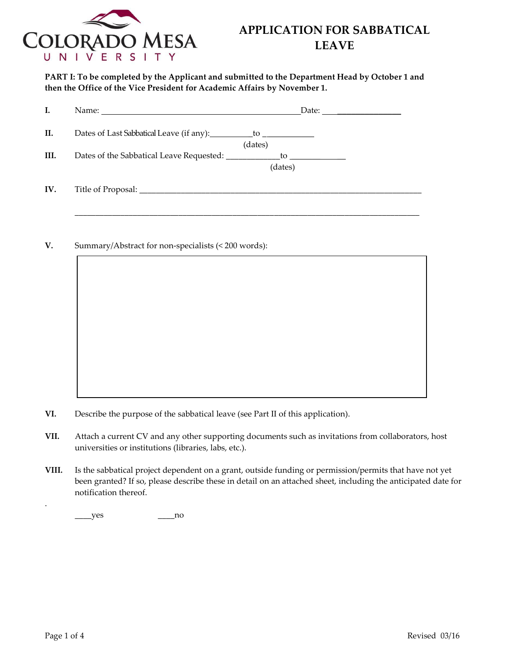

**PART I: To be completed by the Applicant and submitted to the Department Head by October 1 and then the Office of the Vice President for Academic Affairs by November 1.**

| I.   | Name: <u>University</u> Name: 2008.                   | Date: $\frac{1}{\sqrt{1-\frac{1}{2}} \cdot \frac{1}{2}}$                                                                                                                                                                                                                                                    |  |
|------|-------------------------------------------------------|-------------------------------------------------------------------------------------------------------------------------------------------------------------------------------------------------------------------------------------------------------------------------------------------------------------|--|
| II.  |                                                       | (dates)                                                                                                                                                                                                                                                                                                     |  |
| III. | Dates of the Sabbatical Leave Requested: ____________ | $\frac{1}{2}$ to $\frac{1}{2}$ to $\frac{1}{2}$ to $\frac{1}{2}$ to $\frac{1}{2}$ to $\frac{1}{2}$ to $\frac{1}{2}$ to $\frac{1}{2}$ to $\frac{1}{2}$ to $\frac{1}{2}$ to $\frac{1}{2}$ to $\frac{1}{2}$ to $\frac{1}{2}$ to $\frac{1}{2}$ to $\frac{1}{2}$ to $\frac{1}{2}$ to $\frac{1}{2}$ to<br>(dates) |  |
| IV.  |                                                       |                                                                                                                                                                                                                                                                                                             |  |

**V.** Summary/Abstract for non-specialists (< 200 words):

- **VI.** Describe the purpose of the sabbatical leave (see Part II of this application).
- **VII.** Attach a current CV and any other supporting documents such as invitations from collaborators, host universities or institutions (libraries, labs, etc.).
- **VIII.** Is the sabbatical project dependent on a grant, outside funding or permission/permits that have not yet been granted? If so, please describe these in detail on an attached sheet, including the anticipated date for notification thereof.

 $_{\rm yes}$  no

.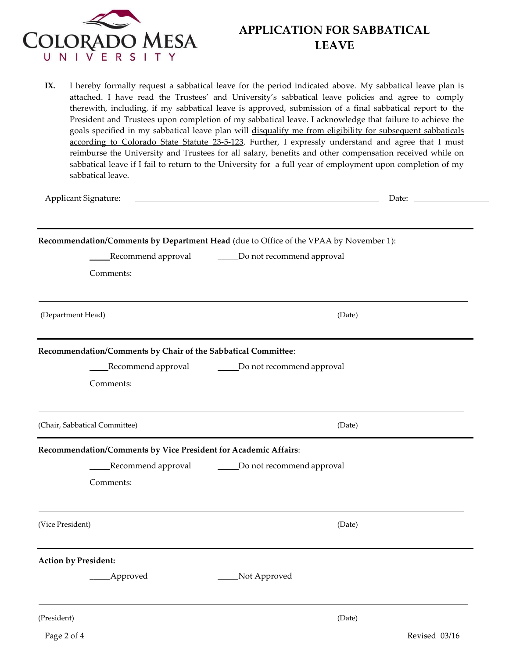

**IX.** I hereby formally request a sabbatical leave for the period indicated above. My sabbatical leave plan is attached. I have read the Trustees' and University's sabbatical leave policies and agree to comply therewith, including, if my sabbatical leave is approved, submission of a final sabbatical report to the President and Trustees upon completion of my sabbatical leave. I acknowledge that failure to achieve the goals specified in my sabbatical leave plan will disqualify me from eligibility for subsequent sabbaticals according to Colorado State Statute 23-5-123. Further, I expressly understand and agree that I must reimburse the University and Trustees for all salary, benefits and other compensation received while on sabbatical leave if I fail to return to the University for a full year of employment upon completion of my sabbatical leave.

Applicant Signature: <u>Date: Date: Date: Date: Date: Date: Date: Date: Date: Date: Date: Date: Date: Date: Date: Date: Date: Date: Date: Date: Date: Date: Date: Date: Date: Date: Date: Date: Date: Date: Date: Date: Date: Da</u>

|                                                                 | Recommendation/Comments by Department Head (due to Office of the VPAA by November 1): |  |
|-----------------------------------------------------------------|---------------------------------------------------------------------------------------|--|
|                                                                 | Recommend approval ________Do not recommend approval                                  |  |
| Comments:                                                       |                                                                                       |  |
| (Department Head)                                               | (Date)                                                                                |  |
| Recommendation/Comments by Chair of the Sabbatical Committee:   |                                                                                       |  |
|                                                                 | Recommend approval _____________Do not recommend approval                             |  |
| Comments:                                                       |                                                                                       |  |
| (Chair, Sabbatical Committee)                                   | (Date)                                                                                |  |
| Recommendation/Comments by Vice President for Academic Affairs: |                                                                                       |  |
|                                                                 | Recommend approval _________ Do not recommend approval                                |  |
| Comments:                                                       |                                                                                       |  |
| (Vice President)                                                | (Date)                                                                                |  |
| <b>Action by President:</b>                                     |                                                                                       |  |
| _Approved                                                       | Not Approved                                                                          |  |
| (President)                                                     | (Date)                                                                                |  |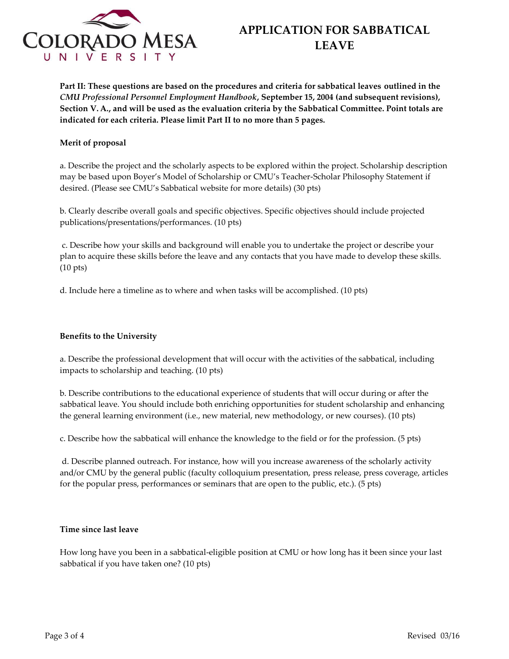

**Part II: These questions are based on the procedures and criteria for sabbatical leaves outlined in the**  *CMU Professional Personnel Employment Handbook***, September 15, 2004 (and subsequent revisions), Section V. A., and will be used as the evaluation criteria by the Sabbatical Committee. Point totals are indicated for each criteria. Please limit Part II to no more than 5 pages.**

### **Merit of proposal**

a. Describe the project and the scholarly aspects to be explored within the project. Scholarship description may be based upon Boyer's Model of Scholarship or CMU's Teacher-Scholar Philosophy Statement if desired. (Please see CMU's Sabbatical website for more details) (30 pts)

b. Clearly describe overall goals and specific objectives. Specific objectives should include projected publications/presentations/performances. (10 pts)

c. Describe how your skills and background will enable you to undertake the project or describe your plan to acquire these skills before the leave and any contacts that you have made to develop these skills. (10 pts)

d. Include here a timeline as to where and when tasks will be accomplished. (10 pts)

### **Benefits to the University**

a. Describe the professional development that will occur with the activities of the sabbatical, including impacts to scholarship and teaching. (10 pts)

b. Describe contributions to the educational experience of students that will occur during or after the sabbatical leave. You should include both enriching opportunities for student scholarship and enhancing the general learning environment (i.e., new material, new methodology, or new courses). (10 pts)

c. Describe how the sabbatical will enhance the knowledge to the field or for the profession. (5 pts)

d. Describe planned outreach. For instance, how will you increase awareness of the scholarly activity and/or CMU by the general public (faculty colloquium presentation, press release, press coverage, articles for the popular press, performances or seminars that are open to the public, etc.). (5 pts)

### **Time since last leave**

How long have you been in a sabbatical-eligible position at CMU or how long has it been since your last sabbatical if you have taken one? (10 pts)